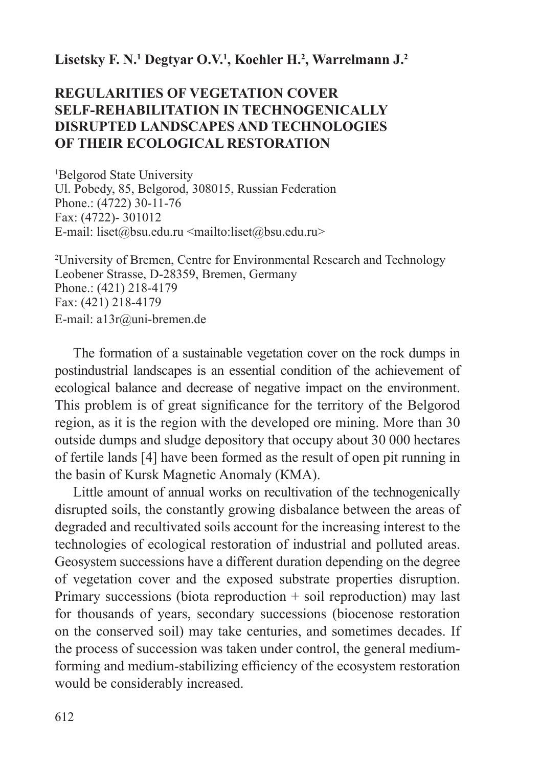# **Lisetsky F. N.1 Degtyar О.V.1 , Koehler H.2 , Warrelmann J.2**

# **REGULARITIES OF VEGETATION COVER SELF-REHABILITATION IN TECHNOGENICALLY DISRUPTED LANDSCAPES AND TECHNOLOGIES OF THEIR ECOLOGICAL RESTORATION**

1 Belgorod State University Ul. Pobedy, 85, Belgorod, 308015, Russian Federation Phone.: (4722) 30-11-76 Fax: (4722)- 301012 E-mail: liset@bsu.edu.ru <mailto:liset@bsu.edu.ru>

2 University of Bremen, Centre for Environmental Research and Technology Leobener Strasse, D-28359, Bremen, Germany Phone.: (421) 218-4179 Fax: (421) 218-4179 E-mail: a13r@uni-bremen.de

The formation of a sustainable vegetation cover on the rock dumps in postindustrial landscapes is an essential condition of the achievement of ecological balance and decrease of negative impact on the environment. This problem is of great significance for the territory of the Belgorod region, as it is the region with the developed ore mining. More than 30 outside dumps and sludge depository that occupy about 30 000 hectares of fertile lands [4] have been formed as the result of open pit running in the basin of Kursk Magnetic Anomaly (КМА).

Little amount of annual works on recultivation of the technogenically disrupted soils, the constantly growing disbalance between the areas of degraded and recultivated soils account for the increasing interest to the technologies of ecological restoration of industrial and polluted areas. Geosystem successions have a different duration depending on the degree of vegetation cover and the exposed substrate properties disruption. Primary successions (biota reproduction  $+$  soil reproduction) may last for thousands of years, secondary successions (biocenose restoration on the conserved soil) may take centuries, and sometimes decades. If the process of succession was taken under control, the general mediumforming and medium-stabilizing efficiency of the ecosystem restoration would be considerably increased.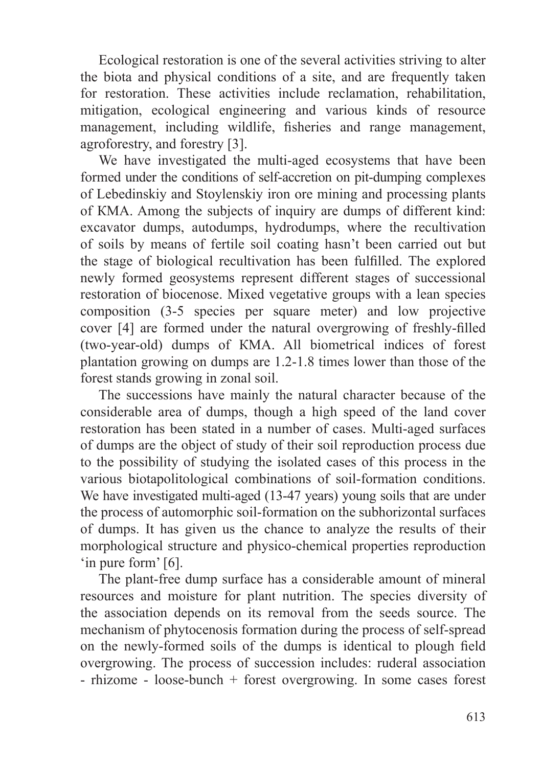Ecological restoration is one of the several activities striving to alter the biota and physical conditions of a site, and are frequently taken for restoration. These activities include reclamation, rehabilitation, mitigation, ecological engineering and various kinds of resource management, including wildlife, fisheries and range management, agroforestry, and forestry [3].

We have investigated the multi-aged ecosystems that have been formed under the conditions of self-accretion on pit-dumping complexes of Lebedinskiy and Stoylenskiy iron ore mining and processing plants of КМА. Among the subjects of inquiry are dumps of different kind: excavator dumps, autodumps, hydrodumps, where the recultivation of soils by means of fertile soil coating hasn't been carried out but the stage of biological recultivation has been fulfilled. The explored newly formed geosystems represent different stages of successional restoration of biocenose. Mixed vegetative groups with a lean species composition (3-5 species per square meter) and low projective cover [4] are formed under the natural overgrowing of freshly-filled (two-year-old) dumps of КМА. All biometrical indices of forest plantation growing on dumps are 1.2-1.8 times lower than those of the forest stands growing in zonal soil.

The successions have mainly the natural character because of the considerable area of dumps, though a high speed of the land cover restoration has been stated in a number of cases. Multi-aged surfaces of dumps are the object of study of their soil reproduction process due to the possibility of studying the isolated cases of this process in the various biotapolitological combinations of soil-formation conditions. We have investigated multi-aged (13-47 years) young soils that are under the process of automorphic soil-formation on the subhorizontal surfaces of dumps. It has given us the chance to analyze the results of their morphological structure and physico-chemical properties reproduction 'in pure form' [6].

The plant-free dump surface has a considerable amount of mineral resources and moisture for plant nutrition. The species diversity of the association depends on its removal from the seeds source. The mechanism of phytocenosis formation during the process of self-spread on the newly-formed soils of the dumps is identical to plough field overgrowing. The process of succession includes: ruderal association - rhizome - loose-bunch + forest overgrowing. In some cases forest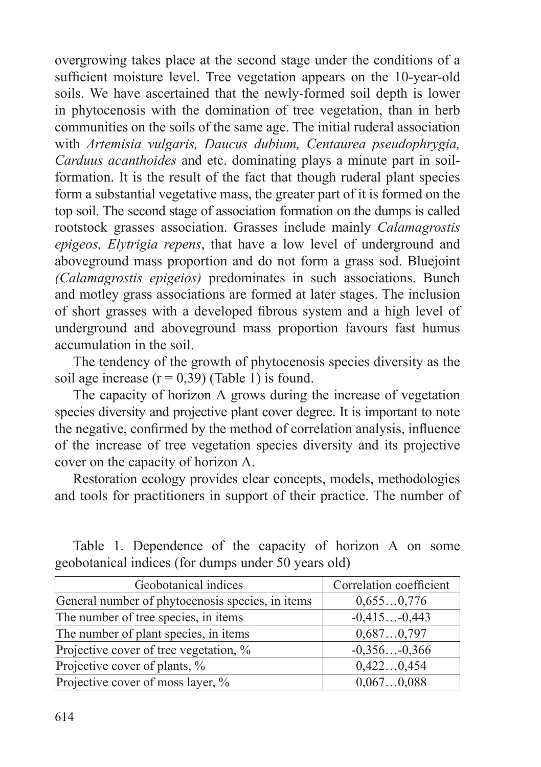overgrowing takes place at the second stage under the conditions of a sufficient moisture level. Tree vegetation appears on the 10-year-old soils. We have ascertained that the newly-formed soil depth is lower in phytocenosis with the domination of tree vegetation, than in herb communities on the soils of the same age. The initial ruderal association with *Artemisia vulgaris, Daucus dubium, Centaurea pseudophrygia, Carduus acanthoides* and etc. dominating plays a minute part in soilformation. It is the result of the fact that though ruderal plant species form a substantial vegetative mass, the greater part of it is formed on the top soil. The second stage of association formation on the dumps is called rootstock grasses association. Grasses include mainly *Calamagrostis epigeos, Elytrigia repens*, that have a low level of underground and aboveground mass proportion and do not form a grass sod. Bluejoint *(Calamagrostis epigeios)* predominates in such associations. Bunch and motley grass associations are formed at later stages. The inclusion of short grasses with a developed fibrous system and a high level of underground and aboveground mass proportion favours fast humus accumulation in the soil.

The tendency of the growth of phytocenosis species diversity as the soil age increase  $(r = 0.39)$  (Table 1) is found.

The capacity of horizon А grows during the increase of vegetation species diversity and projective plant cover degree. It is important to note the negative, confirmed by the method of correlation analysis, influence of the increase of tree vegetation species diversity and its projective cover on the capacity of horizon А.

Restoration ecology provides clear concepts, models, methodologies and tools for practitioners in support of their practice. The number of

| Correlation coefficient |
|-------------------------|
| 0,6550,776              |
| $-0,415-0,443$          |
| 0,6870,797              |
| $-0,356-0,366$          |
| 0,4220,454              |
| 0,0670,088              |
|                         |

Table 1. Dependence of the capacity of horizon А on some geobotanical indices (for dumps under 50 years old)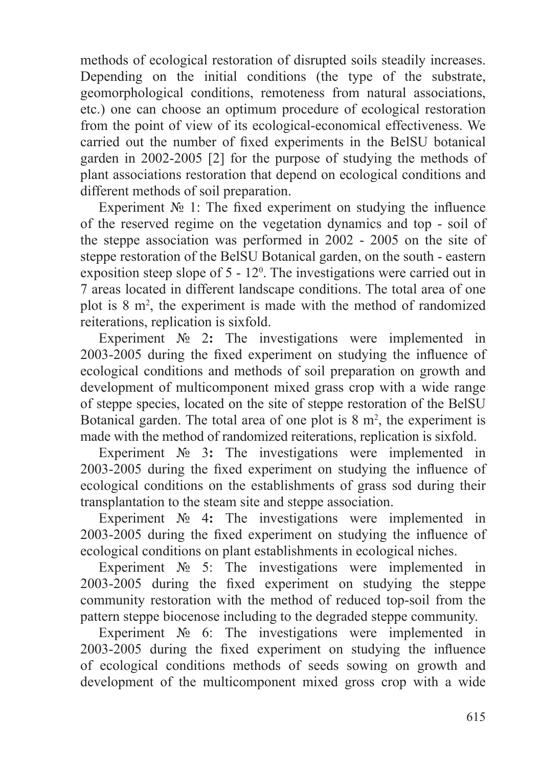methods of ecological restoration of disrupted soils steadily increases. Depending on the initial conditions (the type of the substrate, geomorphological conditions, remoteness from natural associations, etc.) one can choose an optimum procedure of ecological restoration from the point of view of its ecological-economical effectiveness. We carried out the number of fixed experiments in the BelSU botanical garden in 2002-2005 [2] for the purpose of studying the methods of plant associations restoration that depend on ecological conditions and different methods of soil preparation.

Experiment  $\mathbb{N}_{2}$  1: The fixed experiment on studying the influence of the reserved regime on the vegetation dynamics and top - soil of the steppe association was performed in 2002 - 2005 on the site of steppe restoration of the BelSU Botanical garden, on the south - eastern exposition steep slope of  $5 - 12^{\circ}$ . The investigations were carried out in 7 areas located in different landscape conditions. The total area of one plot is  $8 \text{ m}^2$ , the experiment is made with the method of randomized reiterations, replication is sixfold.

Experiment № 2**:** The investigations were implemented in 2003-2005 during the fixed experiment on studying the influence of ecological conditions and methods of soil preparation on growth and development of multicomponent mixed grass crop with a wide range of steppe species, located on the site of steppe restoration of the BelSU Botanical garden. The total area of one plot is  $8 \text{ m}^2$ , the experiment is made with the method of randomized reiterations, replication is sixfold.

Experiment № 3**:** The investigations were implemented in 2003-2005 during the fixed experiment on studying the influence of ecological conditions on the establishments of grass sod during their transplantation to the steam site and steppe association.

Experiment № 4**:** The investigations were implemented in 2003-2005 during the fixed experiment on studying the influence of ecological conditions on plant establishments in ecological niches.

Experiment № 5: The investigations were implemented in 2003-2005 during the fixed experiment on studying the steppe community restoration with the method of reduced top-soil from the pattern steppe biocenose including to the degraded steppe community.

Experiment № 6: The investigations were implemented in 2003-2005 during the fixed experiment on studying the influence of ecological conditions methods of seeds sowing on growth and development of the multicomponent mixed gross crop with a wide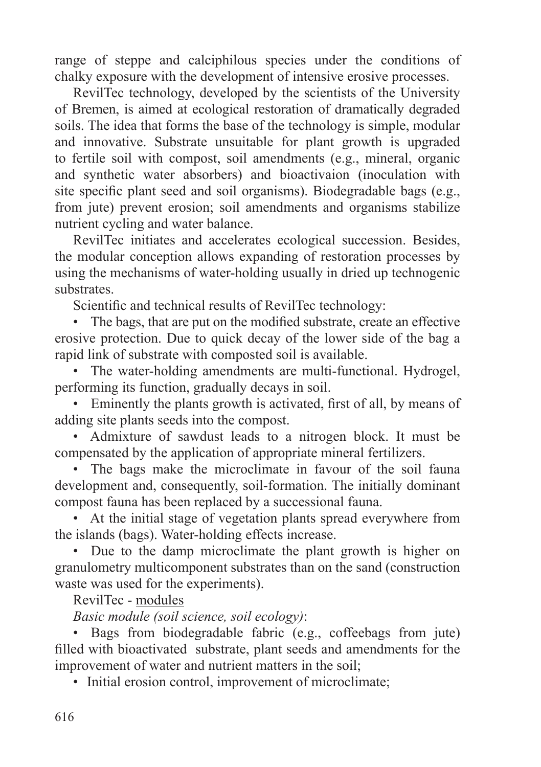range of steppe and calciphilous species under the conditions of chalky exposure with the development of intensive erosive processes.

RevilTec technology, developed by the scientists of the University of Bremen, is aimed at ecological restoration of dramatically degraded soils. The idea that forms the base of the technology is simple, modular and innovative. Substrate unsuitable for plant growth is upgraded to fertile soil with compost, soil amendments (e.g., mineral, organic and synthetic water absorbers) and bioactivaion (inoculation with site specific plant seed and soil organisms). Biodegradable bags (e.g., from jute) prevent erosion; soil amendments and organisms stabilize nutrient cycling and water balance.

RevilTec initiates and accelerates ecological succession. Besides, the modular conception allows expanding of restoration processes by using the mechanisms of water-holding usually in dried up technogenic substrates.

Scientific and technical results of RevilTec technology:

• The bags, that are put on the modified substrate, create an effective erosive protection. Due to quick decay of the lower side of the bag a rapid link of substrate with composted soil is available.

• The water-holding amendments are multi-functional. Hydrogel, performing its function, gradually decays in soil.

• Eminently the plants growth is activated, first of all, by means of adding site plants seeds into the compost.

• Admixture of sawdust leads to a nitrogen block. It must be compensated by the application of appropriate mineral fertilizers.

• The bags make the microclimate in favour of the soil fauna development and, consequently, soil-formation. The initially dominant compost fauna has been replaced by a successional fauna.

• At the initial stage of vegetation plants spread everywhere from the islands (bags). Water-holding effects increase.

• Due to the damp microclimate the plant growth is higher on granulometry multicomponent substrates than on the sand (construction waste was used for the experiments).

RevilTec - modules

*Basic module (soil science, soil ecology)*:

• Bags from biodegradable fabric (e.g., coffeebags from jute) filled with bioactivated substrate, plant seeds and amendments for the improvement of water and nutrient matters in the soil;

• Initial erosion control, improvement of microclimate;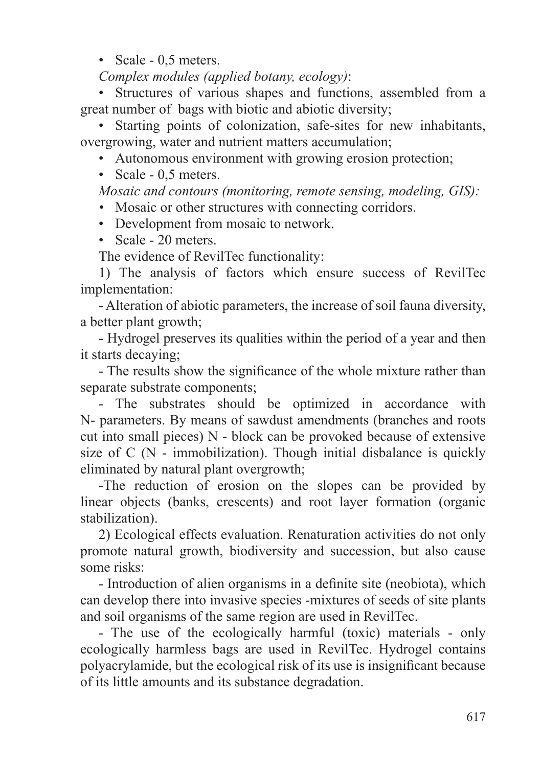• Scale - 0,5 meters.

*Complex modules (applied botany, ecology)*:

• Structures of various shapes and functions, assembled from a great number of bags with biotic and abiotic diversity;

• Starting points of colonization, safe-sites for new inhabitants, overgrowing, water and nutrient matters accumulation;

- Autonomous environment with growing erosion protection;
- Scale 0.5 meters.

*Mosaic and contours (monitoring, remote sensing, modeling, GIS):*

- Mosaic or other structures with connecting corridors.
- Development from mosaic to network.
- Scale 20 meters.

The evidence of RevilTec functionality:

1) The analysis of factors which ensure success of RevilTec implementation:

- Alteration of abiotic parameters, the increase of soil fauna diversity, a better plant growth;

- Hydrogel preserves its qualities within the period of a year and then it starts decaying;

- The results show the significance of the whole mixture rather than separate substrate components;

- The substrates should be optimized in accordance with N- parameters. By means of sawdust amendments (branches and roots cut into small pieces) N - block can be provoked because of extensive size of  $C(N - immobilization)$ . Though initial disbalance is quickly eliminated by natural plant overgrowth;

-The reduction of erosion on the slopes can be provided by linear objects (banks, crescents) and root layer formation (organic stabilization).

2) Ecological effects evaluation. Renaturation activities do not only promote natural growth, biodiversity and succession, but also cause some risks:

- Introduction of alien organisms in a definite site (neobiota), which can develop there into invasive species -mixtures of seeds of site plants and soil organisms of the same region are used in RevilTec.

- The use of the ecologically harmful (toxic) materials - only ecologically harmless bags are used in RevilTec. Hydrogel contains polyacrylamide, but the ecological risk of its use is insignificant because of its little amounts and its substance degradation.